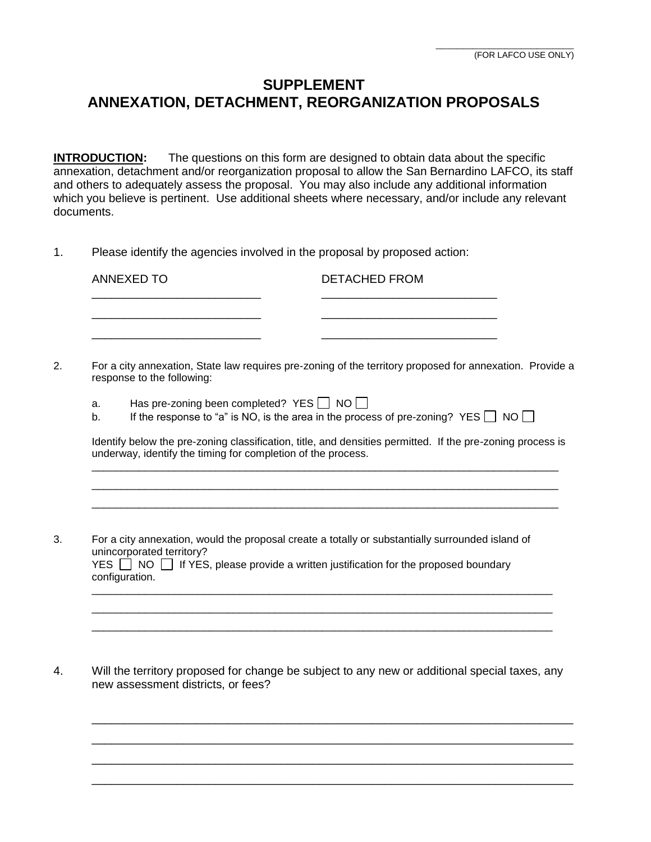## **SUPPLEMENT ANNEXATION, DETACHMENT, REORGANIZATION PROPOSALS**

**INTRODUCTION:** The questions on this form are designed to obtain data about the specific annexation, detachment and/or reorganization proposal to allow the San Bernardino LAFCO, its staff and others to adequately assess the proposal. You may also include any additional information which you believe is pertinent. Use additional sheets where necessary, and/or include any relevant documents.

1. Please identify the agencies involved in the proposal by proposed action:

| ANNEXED TO | <b>DETACHED FROM</b> |
|------------|----------------------|
|            |                      |
|            |                      |

- 2. For a city annexation, State law requires pre-zoning of the territory proposed for annexation. Provide a response to the following:
	- a. Has pre-zoning been completed? YES  $\Box$  NO  $\Box$
	- b. If the response to "a" is NO, is the area in the process of pre-zoning? YES  $\Box$  NO  $\Box$ <br>b. If the response to "a" is NO, is the area in the process of pre-zoning? YES  $\Box$  NO  $\Box$

Identify below the pre-zoning classification, title, and densities permitted. If the pre-zoning process is underway, identify the timing for completion of the process. \_\_\_\_\_\_\_\_\_\_\_\_\_\_\_\_\_\_\_\_\_\_\_\_\_\_\_\_\_\_\_\_\_\_\_\_\_\_\_\_\_\_\_\_\_\_\_\_\_\_\_\_\_\_\_\_\_\_\_\_\_\_\_\_\_\_\_\_\_\_\_\_\_\_\_\_\_\_\_

\_\_\_\_\_\_\_\_\_\_\_\_\_\_\_\_\_\_\_\_\_\_\_\_\_\_\_\_\_\_\_\_\_\_\_\_\_\_\_\_\_\_\_\_\_\_\_\_\_\_\_\_\_\_\_\_\_\_\_\_\_\_\_\_\_\_\_\_\_\_\_\_\_\_\_\_\_\_\_ \_\_\_\_\_\_\_\_\_\_\_\_\_\_\_\_\_\_\_\_\_\_\_\_\_\_\_\_\_\_\_\_\_\_\_\_\_\_\_\_\_\_\_\_\_\_\_\_\_\_\_\_\_\_\_\_\_\_\_\_\_\_\_\_\_\_\_\_\_\_\_\_\_\_\_\_\_\_\_

\_\_\_\_\_\_\_\_\_\_\_\_\_\_\_\_\_\_\_\_\_\_\_\_\_\_\_\_\_\_\_\_\_\_\_\_\_\_\_\_\_\_\_\_\_\_\_\_\_\_\_\_\_\_\_\_\_\_\_\_\_\_\_\_\_\_\_\_\_\_\_\_\_\_\_\_\_\_ \_\_\_\_\_\_\_\_\_\_\_\_\_\_\_\_\_\_\_\_\_\_\_\_\_\_\_\_\_\_\_\_\_\_\_\_\_\_\_\_\_\_\_\_\_\_\_\_\_\_\_\_\_\_\_\_\_\_\_\_\_\_\_\_\_\_\_\_\_\_\_\_\_\_\_\_\_\_ \_\_\_\_\_\_\_\_\_\_\_\_\_\_\_\_\_\_\_\_\_\_\_\_\_\_\_\_\_\_\_\_\_\_\_\_\_\_\_\_\_\_\_\_\_\_\_\_\_\_\_\_\_\_\_\_\_\_\_\_\_\_\_\_\_\_\_\_\_\_\_\_\_\_\_\_\_\_

3. For a city annexation, would the proposal create a totally or substantially surrounded island of unincorporated territory? YES □ NO □ If YES, please provide a written justification for the proposed boundary<br>configuration configuration.

4. Will the territory proposed for change be subject to any new or additional special taxes, any new assessment districts, or fees?

\_\_\_\_\_\_\_\_\_\_\_\_\_\_\_\_\_\_\_\_\_\_\_\_\_\_\_\_\_\_\_\_\_\_\_\_\_\_\_\_\_\_\_\_\_\_\_\_\_\_\_\_\_\_\_\_\_\_\_\_\_\_\_\_\_\_\_\_\_\_\_\_\_\_ \_\_\_\_\_\_\_\_\_\_\_\_\_\_\_\_\_\_\_\_\_\_\_\_\_\_\_\_\_\_\_\_\_\_\_\_\_\_\_\_\_\_\_\_\_\_\_\_\_\_\_\_\_\_\_\_\_\_\_\_\_\_\_\_\_\_\_\_\_\_\_\_\_\_ \_\_\_\_\_\_\_\_\_\_\_\_\_\_\_\_\_\_\_\_\_\_\_\_\_\_\_\_\_\_\_\_\_\_\_\_\_\_\_\_\_\_\_\_\_\_\_\_\_\_\_\_\_\_\_\_\_\_\_\_\_\_\_\_\_\_\_\_\_\_\_\_\_\_ \_\_\_\_\_\_\_\_\_\_\_\_\_\_\_\_\_\_\_\_\_\_\_\_\_\_\_\_\_\_\_\_\_\_\_\_\_\_\_\_\_\_\_\_\_\_\_\_\_\_\_\_\_\_\_\_\_\_\_\_\_\_\_\_\_\_\_\_\_\_\_\_\_\_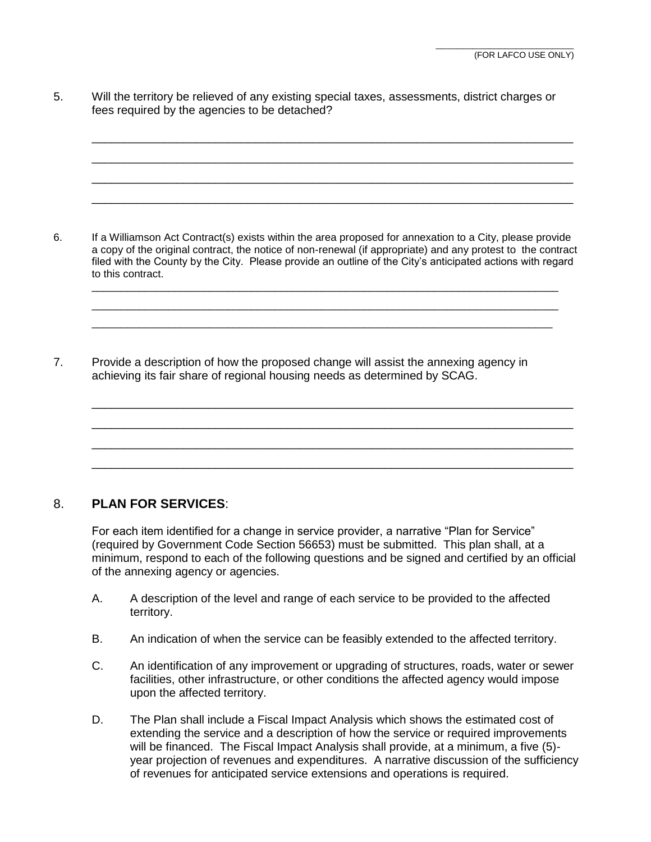5. Will the territory be relieved of any existing special taxes, assessments, district charges or fees required by the agencies to be detached?

\_\_\_\_\_\_\_\_\_\_\_\_\_\_\_\_\_\_\_\_\_\_\_\_\_\_\_\_\_\_\_\_\_\_\_\_\_\_\_\_\_\_\_\_\_\_\_\_\_\_\_\_\_\_\_\_\_\_\_\_\_\_\_\_\_\_\_\_\_\_\_\_\_\_ \_\_\_\_\_\_\_\_\_\_\_\_\_\_\_\_\_\_\_\_\_\_\_\_\_\_\_\_\_\_\_\_\_\_\_\_\_\_\_\_\_\_\_\_\_\_\_\_\_\_\_\_\_\_\_\_\_\_\_\_\_\_\_\_\_\_\_\_\_\_\_\_\_\_ \_\_\_\_\_\_\_\_\_\_\_\_\_\_\_\_\_\_\_\_\_\_\_\_\_\_\_\_\_\_\_\_\_\_\_\_\_\_\_\_\_\_\_\_\_\_\_\_\_\_\_\_\_\_\_\_\_\_\_\_\_\_\_\_\_\_\_\_\_\_\_\_\_\_ \_\_\_\_\_\_\_\_\_\_\_\_\_\_\_\_\_\_\_\_\_\_\_\_\_\_\_\_\_\_\_\_\_\_\_\_\_\_\_\_\_\_\_\_\_\_\_\_\_\_\_\_\_\_\_\_\_\_\_\_\_\_\_\_\_\_\_\_\_\_\_\_\_\_

6. If a Williamson Act Contract(s) exists within the area proposed for annexation to a City, please provide a copy of the original contract, the notice of non-renewal (if appropriate) and any protest to the contract filed with the County by the City. Please provide an outline of the City's anticipated actions with regard to this contract.

\_\_\_\_\_\_\_\_\_\_\_\_\_\_\_\_\_\_\_\_\_\_\_\_\_\_\_\_\_\_\_\_\_\_\_\_\_\_\_\_\_\_\_\_\_\_\_\_\_\_\_\_\_\_\_\_\_\_\_\_\_\_\_\_\_\_\_\_\_\_\_\_\_\_\_\_\_\_\_ \_\_\_\_\_\_\_\_\_\_\_\_\_\_\_\_\_\_\_\_\_\_\_\_\_\_\_\_\_\_\_\_\_\_\_\_\_\_\_\_\_\_\_\_\_\_\_\_\_\_\_\_\_\_\_\_\_\_\_\_\_\_\_\_\_\_\_\_\_\_\_\_\_\_\_\_\_\_\_ \_\_\_\_\_\_\_\_\_\_\_\_\_\_\_\_\_\_\_\_\_\_\_\_\_\_\_\_\_\_\_\_\_\_\_\_\_\_\_\_\_\_\_\_\_\_\_\_\_\_\_\_\_\_\_\_\_\_\_\_\_\_\_\_\_\_\_\_\_\_\_\_\_\_\_\_\_\_

\_\_\_\_\_\_\_\_\_\_\_\_\_\_\_\_\_\_\_\_\_\_\_\_\_\_\_\_\_\_\_\_\_\_\_\_\_\_\_\_\_\_\_\_\_\_\_\_\_\_\_\_\_\_\_\_\_\_\_\_\_\_\_\_\_\_\_\_\_\_\_\_\_\_ \_\_\_\_\_\_\_\_\_\_\_\_\_\_\_\_\_\_\_\_\_\_\_\_\_\_\_\_\_\_\_\_\_\_\_\_\_\_\_\_\_\_\_\_\_\_\_\_\_\_\_\_\_\_\_\_\_\_\_\_\_\_\_\_\_\_\_\_\_\_\_\_\_\_ \_\_\_\_\_\_\_\_\_\_\_\_\_\_\_\_\_\_\_\_\_\_\_\_\_\_\_\_\_\_\_\_\_\_\_\_\_\_\_\_\_\_\_\_\_\_\_\_\_\_\_\_\_\_\_\_\_\_\_\_\_\_\_\_\_\_\_\_\_\_\_\_\_\_ \_\_\_\_\_\_\_\_\_\_\_\_\_\_\_\_\_\_\_\_\_\_\_\_\_\_\_\_\_\_\_\_\_\_\_\_\_\_\_\_\_\_\_\_\_\_\_\_\_\_\_\_\_\_\_\_\_\_\_\_\_\_\_\_\_\_\_\_\_\_\_\_\_\_

7. Provide a description of how the proposed change will assist the annexing agency in achieving its fair share of regional housing needs as determined by SCAG.

## 8. **PLAN FOR SERVICES**:

For each item identified for a change in service provider, a narrative "Plan for Service" (required by Government Code Section 56653) must be submitted. This plan shall, at a minimum, respond to each of the following questions and be signed and certified by an official of the annexing agency or agencies.

- A. A description of the level and range of each service to be provided to the affected territory.
- B. An indication of when the service can be feasibly extended to the affected territory.
- C. An identification of any improvement or upgrading of structures, roads, water or sewer facilities, other infrastructure, or other conditions the affected agency would impose upon the affected territory.
- D. The Plan shall include a Fiscal Impact Analysis which shows the estimated cost of extending the service and a description of how the service or required improvements will be financed. The Fiscal Impact Analysis shall provide, at a minimum, a five (5) year projection of revenues and expenditures. A narrative discussion of the sufficiency of revenues for anticipated service extensions and operations is required.